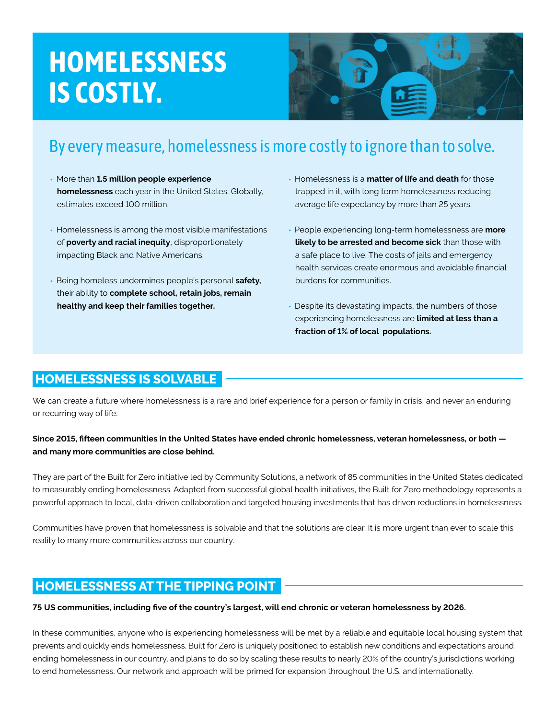# **HOMELESSNESS IS COSTLY.**



# By every measure, homelessness is more costly to ignore than to solve.

- More than **1.5 million people experience homelessness** each year in the United States. Globally, estimates exceed 100 million.
- Homelessness is among the most visible manifestations of **poverty and racial inequity**, disproportionately impacting Black and Native Americans.
- Being homeless undermines people's personal **safety,** their ability to **complete school, retain jobs, remain healthy and keep their families together.**
- Homelessness is a **matter of life and death** for those trapped in it, with long term homelessness reducing average life expectancy by more than 25 years.
- People experiencing long-term homelessness are **more likely to be arrested and become sick** than those with a safe place to live. The costs of jails and emergency health services create enormous and avoidable financial burdens for communities.
- Despite its devastating impacts, the numbers of those experiencing homelessness are **limited at less than a fraction of 1% of local populations.**

#### **HOMELESSNESS IS SOLVABLE**

We can create a future where homelessness is a rare and brief experience for a person or family in crisis, and never an enduring or recurring way of life.

#### **Since 2015, fifteen communities in the United States have ended chronic homelessness, veteran homelessness, or both and many more communities are close behind.**

They are part of the Built for Zero initiative led by Community Solutions, a network of 85 communities in the United States dedicated to measurably ending homelessness. Adapted from successful global health initiatives, the Built for Zero methodology represents a powerful approach to local, data-driven collaboration and targeted housing investments that has driven reductions in homelessness.

Communities have proven that homelessness is solvable and that the solutions are clear. It is more urgent than ever to scale this reality to many more communities across our country.

### **HOMELESSNESS AT THE TIPPING POINT**

#### **75 US communities, including five of the country's largest, will end chronic or veteran homelessness by 2026.**

In these communities, anyone who is experiencing homelessness will be met by a reliable and equitable local housing system that prevents and quickly ends homelessness. Built for Zero is uniquely positioned to establish new conditions and expectations around ending homelessness in our country, and plans to do so by scaling these results to nearly 20% of the country's jurisdictions working to end homelessness. Our network and approach will be primed for expansion throughout the U.S. and internationally.